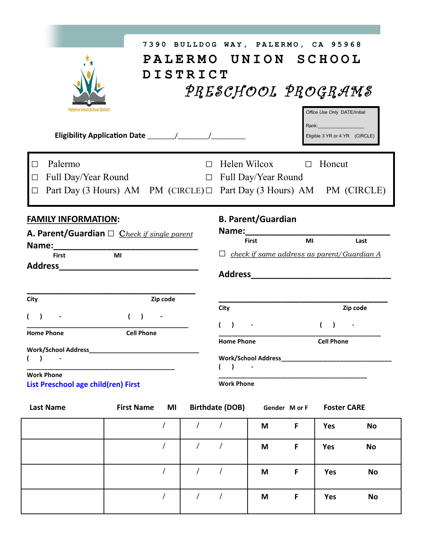|                                                                                                      | 7390 BULLDOG WAY, PALERMO, CA 95968                                                              |                                        |                                                                                                                                                                                                                               |   |               |                                                             |           |
|------------------------------------------------------------------------------------------------------|--------------------------------------------------------------------------------------------------|----------------------------------------|-------------------------------------------------------------------------------------------------------------------------------------------------------------------------------------------------------------------------------|---|---------------|-------------------------------------------------------------|-----------|
|                                                                                                      | PALERMO UNION SCHOOL                                                                             |                                        |                                                                                                                                                                                                                               |   |               |                                                             |           |
|                                                                                                      | <b>DISTRICT</b>                                                                                  |                                        |                                                                                                                                                                                                                               |   |               |                                                             |           |
|                                                                                                      |                                                                                                  |                                        | PRESCHOOL PROGRAMS                                                                                                                                                                                                            |   |               |                                                             |           |
| Palermo Union School District                                                                        |                                                                                                  |                                        |                                                                                                                                                                                                                               |   |               |                                                             |           |
|                                                                                                      |                                                                                                  |                                        |                                                                                                                                                                                                                               |   |               | Office Use Only DATE/Initial<br>Rank: _____________________ |           |
|                                                                                                      |                                                                                                  |                                        |                                                                                                                                                                                                                               |   |               | Eligible 3 YR or 4 YR (CIRCLE)                              |           |
|                                                                                                      |                                                                                                  |                                        |                                                                                                                                                                                                                               |   |               |                                                             |           |
| Palermo                                                                                              |                                                                                                  | $\Box$                                 | Helen Wilcox                                                                                                                                                                                                                  |   | $\Box$        | Honcut                                                      |           |
| Full Day/Year Round<br>$\mathsf{L}$                                                                  |                                                                                                  |                                        | $\Box$ Full Day/Year Round                                                                                                                                                                                                    |   |               |                                                             |           |
| Part Day (3 Hours) AM PM (CIRCLE) $\Box$ Part Day (3 Hours) AM PM (CIRCLE)<br>□                      |                                                                                                  |                                        |                                                                                                                                                                                                                               |   |               |                                                             |           |
|                                                                                                      |                                                                                                  |                                        |                                                                                                                                                                                                                               |   |               |                                                             |           |
| <b>FAMILY INFORMATION:</b>                                                                           |                                                                                                  |                                        | <b>B. Parent/Guardian</b>                                                                                                                                                                                                     |   |               |                                                             |           |
| A. Parent/Guardian $\Box$ Check if single parent                                                     |                                                                                                  |                                        | Name: and the state of the state of the state of the state of the state of the state of the state of the state of the state of the state of the state of the state of the state of the state of the state of the state of the |   | MI            |                                                             | Last      |
| <b>First</b>                                                                                         | <b>First</b><br>Name: _______________<br>$\Box$ check if same address as parent/Guardian A<br>MI |                                        |                                                                                                                                                                                                                               |   |               |                                                             |           |
| Address Andrew Address Address Andrew Address Andrew Address Address Andrew Address Andrew Address A |                                                                                                  |                                        |                                                                                                                                                                                                                               |   |               |                                                             |           |
|                                                                                                      |                                                                                                  |                                        | Address Andreas Address Address Andreas Andreas Andreas Andreas Andreas Andreas Andreas Andreas Andreas Andreas                                                                                                               |   |               |                                                             |           |
| City                                                                                                 | Zip code                                                                                         |                                        |                                                                                                                                                                                                                               |   |               |                                                             |           |
|                                                                                                      |                                                                                                  |                                        | City                                                                                                                                                                                                                          |   |               |                                                             | Zip code  |
|                                                                                                      | $\overline{ }$                                                                                   |                                        |                                                                                                                                                                                                                               |   |               |                                                             |           |
| <b>Cell Phone</b><br><b>Home Phone</b><br><b>Cell Phone</b><br><b>Home Phone</b>                     |                                                                                                  |                                        |                                                                                                                                                                                                                               |   |               |                                                             |           |
|                                                                                                      |                                                                                                  |                                        |                                                                                                                                                                                                                               |   |               |                                                             |           |
|                                                                                                      | $( )$ -<br>$($ )                                                                                 |                                        |                                                                                                                                                                                                                               |   |               |                                                             |           |
| <b>Work Phone</b><br><b>Work Phone</b><br>List Preschool age child(ren) First                        |                                                                                                  |                                        |                                                                                                                                                                                                                               |   |               |                                                             |           |
|                                                                                                      |                                                                                                  |                                        |                                                                                                                                                                                                                               |   |               |                                                             |           |
| <b>Last Name</b>                                                                                     | <b>First Name</b><br>MI                                                                          |                                        | <b>Birthdate (DOB)</b>                                                                                                                                                                                                        |   | Gender M or F | <b>Foster CARE</b>                                          |           |
|                                                                                                      | $\overline{ }$                                                                                   | $\sqrt{2}$<br>$\overline{\phantom{a}}$ |                                                                                                                                                                                                                               | M | F             | Yes                                                         | <b>No</b> |
|                                                                                                      | $\overline{1}$                                                                                   | $\sqrt{ }$                             | $\sqrt{ }$                                                                                                                                                                                                                    |   |               |                                                             |           |
|                                                                                                      |                                                                                                  |                                        |                                                                                                                                                                                                                               | M | F             | <b>Yes</b>                                                  | <b>No</b> |
|                                                                                                      | $\overline{1}$                                                                                   | $\overline{1}$                         | $\sqrt{ }$                                                                                                                                                                                                                    | M | F             | <b>Yes</b>                                                  | <b>No</b> |
|                                                                                                      |                                                                                                  |                                        |                                                                                                                                                                                                                               |   |               |                                                             |           |
|                                                                                                      | $\overline{1}$                                                                                   | $\overline{1}$                         | $\sqrt{ }$                                                                                                                                                                                                                    | M | F             | Yes                                                         | <b>No</b> |
|                                                                                                      |                                                                                                  |                                        |                                                                                                                                                                                                                               |   |               |                                                             |           |

┑